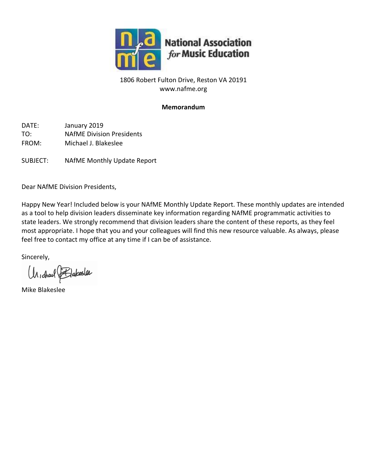

# 1806 Robert Fulton Drive, Reston VA 20191 www.nafme.org

# **Memorandum**

DATE: January 2019 TO: NAfME Division Presidents FROM: Michael J. Blakeslee

SUBJECT: NAfME Monthly Update Report

Dear NAfME Division Presidents,

Happy New Year! Included below is your NAfME Monthly Update Report. These monthly updates are intended as a tool to help division leaders disseminate key information regarding NAfME programmatic activities to state leaders. We strongly recommend that division leaders share the content of these reports, as they feel most appropriate. I hope that you and your colleagues will find this new resource valuable. As always, please feel free to contact my office at any time if I can be of assistance.

Sincerely,

Un, charl Flakesler

Mike Blakeslee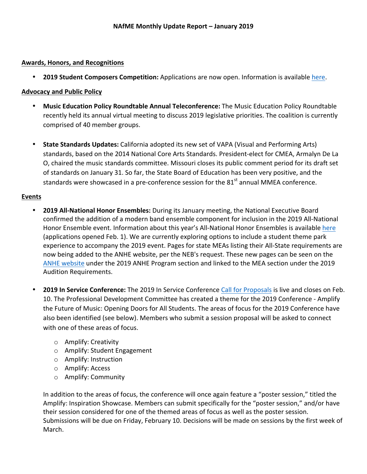#### **Awards, Honors, and Recognitions**

• **2019 Student Composers Competition:** Applications are now open. Information is available here.

#### **Advocacy and Public Policy**

- Music Education Policy Roundtable Annual Teleconference: The Music Education Policy Roundtable recently held its annual virtual meeting to discuss 2019 legislative priorities. The coalition is currently comprised of 40 member groups.
- State Standards Updates: California adopted its new set of VAPA (Visual and Performing Arts) standards, based on the 2014 National Core Arts Standards. President-elect for CMEA, Armalyn De La O, chaired the music standards committee. Missouri closes its public comment period for its draft set of standards on January 31. So far, the State Board of Education has been very positive, and the standards were showcased in a pre-conference session for the  $81<sup>st</sup>$  annual MMEA conference.

#### **Events**

- 2019 All-National Honor Ensembles: During its January meeting, the National Executive Board confirmed the addition of a modern band ensemble component for inclusion in the 2019 All-National Honor Ensemble event. Information about this year's All-National Honor Ensembles is available here (applications opened Feb. 1). We are currently exploring options to include a student theme park experience to accompany the 2019 event. Pages for state MEAs listing their All-State requirements are now being added to the ANHE website, per the NEB's request. These new pages can be seen on the ANHE website under the 2019 ANHE Program section and linked to the MEA section under the 2019 Audition Requirements.
- **2019 In Service Conference:** The 2019 In Service Conference Call for Proposals is live and closes on Feb. 10. The Professional Development Committee has created a theme for the 2019 Conference - Amplify the Future of Music: Opening Doors for All Students. The areas of focus for the 2019 Conference have also been identified (see below). Members who submit a session proposal will be asked to connect with one of these areas of focus.
	- o Amplify: Creativity
	- o Amplify: Student Engagement
	- $\circ$  Amplify: Instruction
	- o Amplify: Access
	- o Amplify: Community

In addition to the areas of focus, the conference will once again feature a "poster session," titled the Amplify: Inspiration Showcase. Members can submit specifically for the "poster session," and/or have their session considered for one of the themed areas of focus as well as the poster session. Submissions will be due on Friday, February 10. Decisions will be made on sessions by the first week of March.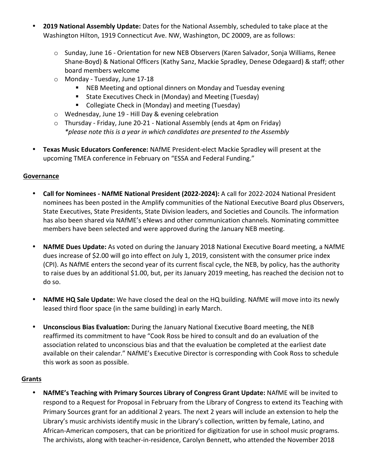- 2019 National Assembly Update: Dates for the National Assembly, scheduled to take place at the Washington Hilton, 1919 Connecticut Ave. NW, Washington, DC 20009, are as follows:
	- $\circ$  Sunday, June 16 Orientation for new NEB Observers (Karen Salvador, Sonja Williams, Renee Shane-Boyd) & National Officers (Kathy Sanz, Mackie Spradley, Denese Odegaard) & staff; other board members welcome
	- o Monday Tuesday, June 17-18
		- NEB Meeting and optional dinners on Monday and Tuesday evening
		- State Executives Check in (Monday) and Meeting (Tuesday)
		- Collegiate Check in (Monday) and meeting (Tuesday)
	- $\circ$  Wednesday, June 19 Hill Day & evening celebration
	- $\circ$  Thursday Friday, June 20-21 National Assembly (ends at 4pm on Friday) *\*please note this is a year in which candidates are presented to the Assembly*
- Texas Music Educators Conference: NAfME President-elect Mackie Spradley will present at the upcoming TMEA conference in February on "ESSA and Federal Funding."

## **Governance**

- Call for Nominees NAfME National President (2022-2024): A call for 2022-2024 National President nominees has been posted in the Amplify communities of the National Executive Board plus Observers, State Executives, State Presidents, State Division leaders, and Societies and Councils. The information has also been shared via NAfME's eNews and other communication channels. Nominating committee members have been selected and were approved during the January NEB meeting.
- NAfME Dues Update: As voted on during the January 2018 National Executive Board meeting, a NAfME dues increase of \$2.00 will go into effect on July 1, 2019, consistent with the consumer price index (CPI). As NAfME enters the second year of its current fiscal cycle, the NEB, by policy, has the authority to raise dues by an additional \$1.00, but, per its January 2019 meeting, has reached the decision not to do so.
- **NAfME HQ Sale Update:** We have closed the deal on the HQ building. NAfME will move into its newly leased third floor space (in the same building) in early March.
- **Unconscious Bias Evaluation:** During the January National Executive Board meeting, the NEB reaffirmed its commitment to have "Cook Ross be hired to consult and do an evaluation of the association related to unconscious bias and that the evaluation be completed at the earliest date available on their calendar." NAfME's Executive Director is corresponding with Cook Ross to schedule this work as soon as possible.

## **Grants**

**NAfME's Teaching with Primary Sources Library of Congress Grant Update:** NAfME will be invited to respond to a Request for Proposal in February from the Library of Congress to extend its Teaching with Primary Sources grant for an additional 2 years. The next 2 years will include an extension to help the Library's music archivists identify music in the Library's collection, written by female, Latino, and African-American composers, that can be prioritized for digitization for use in school music programs. The archivists, along with teacher-in-residence, Carolyn Bennett, who attended the November 2018